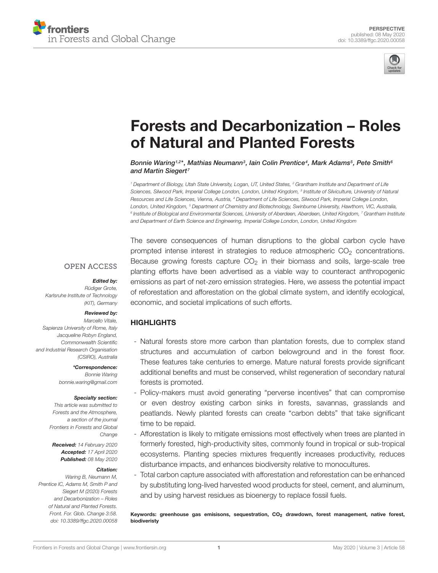



# [Forests and Decarbonization – Roles](https://www.frontiersin.org/articles/10.3389/ffgc.2020.00058/full) of Natural and Planted Forests

[Bonnie Waring](http://loop.frontiersin.org/people/239006/overview)1.2\*, [Mathias Neumann](http://loop.frontiersin.org/people/937927/overview)<sup>3</sup>, Iain Colin Prentice<sup>4</sup>, [Mark Adams](http://loop.frontiersin.org/people/93910/overview)<sup>5</sup>, [Pete Smith](http://loop.frontiersin.org/people/299899/overview)<sup>6</sup> and [Martin Siegert](http://loop.frontiersin.org/people/281942/overview)<sup>7</sup>

<sup>1</sup> Department of Biology, Utah State University, Logan, UT, United States, <sup>2</sup> Grantham Institute and Department of Life Sciences, Silwood Park, Imperial College London, London, United Kingdom, <sup>3</sup> Institute of Silviculture, University of Natural Resources and Life Sciences, Vienna, Austria, <sup>4</sup> Department of Life Sciences, Silwood Park, Imperial College London, London, United Kingdom, <sup>5</sup> Department of Chemistry and Biotechnology, Swinburne University, Hawthorn, VIC, Australia,  $^6$  Institute of Biological and Environmental Sciences, University of Aberdeen, Aberdeen, United Kingdom,  $^7$  Grantham Institute and Department of Earth Science and Engineering, Imperial College London, London, United Kingdom

#### **OPEN ACCESS**

#### Edited by:

Rüdiger Grote, Karlsruhe Institute of Technology (KIT), Germany

#### Reviewed by:

Marcello Vitale, Sapienza University of Rome, Italy Jacqueline Robyn England, Commonwealth Scientific and Industrial Research Organisation (CSIRO), Australia

> \*Correspondence: Bonnie Waring bonnie.waring@gmail.com

#### Specialty section:

This article was submitted to Forests and the Atmosphere, a section of the journal Frontiers in Forests and Global Change

Received: 14 February 2020 Accepted: 17 April 2020 Published: 08 May 2020

#### Citation:

Waring B, Neumann M, Prentice IC, Adams M, Smith P and Siegert M (2020) Forests and Decarbonization – Roles of Natural and Planted Forests. Front. For. Glob. Change 3:58. doi: [10.3389/ffgc.2020.00058](https://doi.org/10.3389/ffgc.2020.00058) The severe consequences of human disruptions to the global carbon cycle have prompted intense interest in strategies to reduce atmospheric  $CO<sub>2</sub>$  concentrations. Because growing forests capture  $CO<sub>2</sub>$  in their biomass and soils, large-scale tree planting efforts have been advertised as a viable way to counteract anthropogenic emissions as part of net-zero emission strategies. Here, we assess the potential impact of reforestation and afforestation on the global climate system, and identify ecological, economic, and societal implications of such efforts.

#### **HIGHLIGHTS**

- Natural forests store more carbon than plantation forests, due to complex stand structures and accumulation of carbon belowground and in the forest floor. These features take centuries to emerge. Mature natural forests provide significant additional benefits and must be conserved, whilst regeneration of secondary natural forests is promoted.
- Policy-makers must avoid generating "perverse incentives" that can compromise or even destroy existing carbon sinks in forests, savannas, grasslands and peatlands. Newly planted forests can create "carbon debts" that take significant time to be repaid.
- Afforestation is likely to mitigate emissions most effectively when trees are planted in formerly forested, high-productivity sites, commonly found in tropical or sub-tropical ecosystems. Planting species mixtures frequently increases productivity, reduces disturbance impacts, and enhances biodiversity relative to monocultures.
- Total carbon capture associated with afforestation and reforestation can be enhanced by substituting long-lived harvested wood products for steel, cement, and aluminum, and by using harvest residues as bioenergy to replace fossil fuels.

Keywords: greenhouse gas emisisons, sequestration, CO<sub>2</sub> drawdown, forest management, native forest, biodiveristy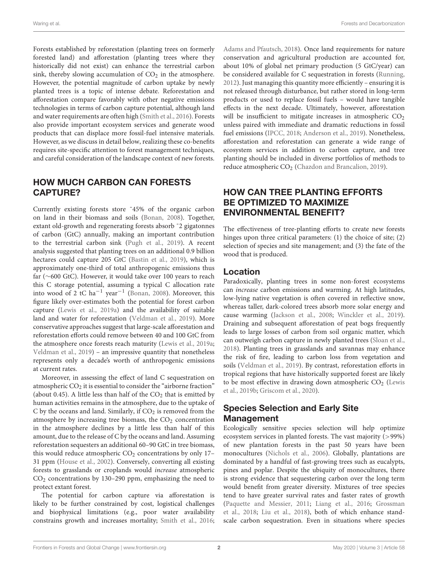Forests established by reforestation (planting trees on formerly forested land) and afforestation (planting trees where they historically did not exist) can enhance the terrestrial carbon sink, thereby slowing accumulation of  $CO<sub>2</sub>$  in the atmosphere. However, the potential magnitude of carbon uptake by newly planted trees is a topic of intense debate. Reforestation and afforestation compare favorably with other negative emissions technologies in terms of carbon capture potential, although land and water requirements are often high [\(Smith et al.,](#page-5-0) [2016\)](#page-5-0). Forests also provide important ecosystem services and generate wood products that can displace more fossil-fuel intensive materials. However, as we discuss in detail below, realizing these co-benefits requires site-specific attention to forest management techniques, and careful consideration of the landscape context of new forests.

### HOW MUCH CARBON CAN FORESTS CAPTURE?

Currently existing forests store ˜45% of the organic carbon on land in their biomass and soils [\(Bonan,](#page-4-0) [2008\)](#page-4-0). Together, extant old-growth and regenerating forests absorb ˜2 gigatonnes of carbon (GtC) annually, making an important contribution to the terrestrial carbon sink [\(Pugh et al.,](#page-5-1) [2019\)](#page-5-1). A recent analysis suggested that planting trees on an additional 0.9 billion hectares could capture 205 GtC [\(Bastin et al.,](#page-3-0) [2019\)](#page-3-0), which is approximately one-third of total anthropogenic emissions thus far (∼600 GtC). However, it would take over 100 years to reach this C storage potential, assuming a typical C allocation rate into wood of 2 tC ha−<sup>1</sup> year−<sup>1</sup> [\(Bonan,](#page-4-0) [2008\)](#page-4-0). Moreover, this figure likely over-estimates both the potential for forest carbon capture [\(Lewis et al.,](#page-4-1) [2019a\)](#page-4-1) and the availability of suitable land and water for reforestation [\(Veldman et al.,](#page-5-2) [2019\)](#page-5-2). More conservative approaches suggest that large-scale afforestation and reforestation efforts could remove between 40 and 100 GtC from the atmosphere once forests reach maturity [\(Lewis et al.,](#page-4-1) [2019a;](#page-4-1) [Veldman et al.,](#page-5-2) [2019\)](#page-5-2) – an impressive quantity that nonetheless represents only a decade's worth of anthropogenic emissions at current rates.

Moreover, in assessing the effect of land C sequestration on atmospheric  $CO<sub>2</sub>$  it is essential to consider the "airborne fraction" (about 0.45). A little less than half of the  $CO<sub>2</sub>$  that is emitted by human activities remains in the atmosphere, due to the uptake of C by the oceans and land. Similarly, if  $CO<sub>2</sub>$  is removed from the atmosphere by increasing tree biomass, the  $CO<sub>2</sub>$  concentration in the atmosphere declines by a little less than half of this amount, due to the release of C by the oceans and land. Assuming reforestation sequesters an additional 60–90 GtC in tree biomass, this would reduce atmospheric  $CO<sub>2</sub>$  concentrations by only 17-31 ppm [\(House et al.,](#page-4-2) [2002\)](#page-4-2). Conversely, converting all existing forests to grasslands or croplands would increase atmospheric  $CO<sub>2</sub>$  concentrations by 130–290 ppm, emphasizing the need to protect extant forest.

The potential for carbon capture via afforestation is likely to be further constrained by cost, logistical challenges and biophysical limitations (e.g., poor water availability constrains growth and increases mortality; [Smith et al.,](#page-5-0) [2016;](#page-5-0) [Adams and Pfautsch,](#page-3-1) [2018\)](#page-3-1). Once land requirements for nature conservation and agricultural production are accounted for, about 10% of global net primary production (5 GtC/year) can be considered available for C sequestration in forests [\(Running,](#page-5-3) [2012\)](#page-5-3). Just managing this quantity more efficiently – ensuring it is not released through disturbance, but rather stored in long-term products or used to replace fossil fuels – would have tangible effects in the next decade. Ultimately, however, afforestation will be insufficient to mitigate increases in atmospheric  $CO<sub>2</sub>$ unless paired with immediate and dramatic reductions in fossil fuel emissions [\(IPCC,](#page-4-3) [2018;](#page-4-3) [Anderson et al.,](#page-3-2) [2019\)](#page-3-2). Nonetheless, afforestation and reforestation can generate a wide range of ecosystem services in addition to carbon capture, and tree planting should be included in diverse portfolios of methods to reduce atmospheric CO<sub>2</sub> [\(Chazdon and Brancalion,](#page-4-4) [2019\)](#page-4-4).

# HOW CAN TREE PLANTING EFFORTS BE OPTIMIZED TO MAXIMIZE ENVIRONMENTAL BENEFIT?

The effectiveness of tree-planting efforts to create new forests hinges upon three critical parameters: (1) the choice of site; (2) selection of species and site management; and (3) the fate of the wood that is produced.

#### Location

Paradoxically, planting trees in some non-forest ecosystems can increase carbon emissions and warming. At high latitudes, low-lying native vegetation is often covered in reflective snow, whereas taller, dark-colored trees absorb more solar energy and cause warming [\(Jackson et al.,](#page-4-5) [2008;](#page-4-5) [Winckler et al.,](#page-5-4) [2019\)](#page-5-4). Draining and subsequent afforestation of peat bogs frequently leads to large losses of carbon from soil organic matter, which can outweigh carbon capture in newly planted trees [\(Sloan et al.,](#page-5-5) [2018\)](#page-5-5). Planting trees in grasslands and savannas may enhance the risk of fire, leading to carbon loss from vegetation and soils [\(Veldman et al.,](#page-5-2) [2019\)](#page-5-2). By contrast, reforestation efforts in tropical regions that have historically supported forest are likely to be most effective in drawing down atmospheric  $CO<sub>2</sub>$  [\(Lewis](#page-4-6) [et al.,](#page-4-6) [2019b;](#page-4-6) [Griscom et al.,](#page-4-7) [2020\)](#page-4-7).

# Species Selection and Early Site Management

Ecologically sensitive species selection will help optimize ecosystem services in planted forests. The vast majority (>99%) of new plantation forests in the past 50 years have been monocultures [\(Nichols et al.,](#page-4-8) [2006\)](#page-4-8). Globally, plantations are dominated by a handful of fast-growing trees such as eucalypts, pines and poplar. Despite the ubiquity of monocultures, there is strong evidence that sequestering carbon over the long term would benefit from greater diversity. Mixtures of tree species tend to have greater survival rates and faster rates of growth [\(Paquette and Messier,](#page-4-9) [2011;](#page-4-9) [Liang et al.,](#page-4-10) [2016;](#page-4-10) [Grossman](#page-4-11) [et al.,](#page-4-11) [2018;](#page-4-11) [Liu et al.,](#page-4-12) [2018\)](#page-4-12), both of which enhance standscale carbon sequestration. Even in situations where species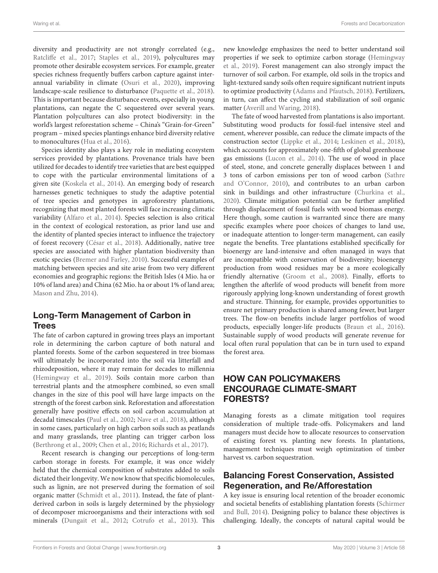diversity and productivity are not strongly correlated (e.g., [Ratcliffe et al.,](#page-5-6) [2017;](#page-5-6) [Staples et al.,](#page-5-7) [2019\)](#page-5-7), polycultures may promote other desirable ecosystem services. For example, greater species richness frequently buffers carbon capture against interannual variability in climate [\(Osuri et al.,](#page-4-13) [2020\)](#page-4-13), improving landscape-scale resilience to disturbance [\(Paquette et al.,](#page-4-14) [2018\)](#page-4-14). This is important because disturbance events, especially in young plantations, can negate the C sequestered over several years. Plantation polycultures can also protect biodiversity: in the world's largest reforestation scheme – China's "Grain-for-Green" program – mixed species plantings enhance bird diversity relative to monocultures [\(Hua et al.,](#page-4-15) [2016\)](#page-4-15).

Species identity also plays a key role in mediating ecosystem services provided by plantations. Provenance trials have been utilized for decades to identify tree varieties that are best equipped to cope with the particular environmental limitations of a given site [\(Koskela et al.,](#page-4-16) [2014\)](#page-4-16). An emerging body of research harnesses genetic techniques to study the adaptive potential of tree species and genotypes in agroforestry plantations, recognizing that most planted forests will face increasing climatic variability [\(Alfaro et al.,](#page-3-3) [2014\)](#page-3-3). Species selection is also critical in the context of ecological restoration, as prior land use and the identity of planted species interact to influence the trajectory of forest recovery [\(César et al.,](#page-4-17) [2018\)](#page-4-17). Additionally, native tree species are associated with higher plantation biodiversity than exotic species [\(Bremer and Farley,](#page-4-18) [2010\)](#page-4-18). Successful examples of matching between species and site arise from two very different economies and geographic regions: the British Isles (4 Mio. ha or 10% of land area) and China (62 Mio. ha or about 1% of land area; [Mason and Zhu,](#page-4-19) [2014\)](#page-4-19).

# Long-Term Management of Carbon in **Trees**

The fate of carbon captured in growing trees plays an important role in determining the carbon capture of both natural and planted forests. Some of the carbon sequestered in tree biomass will ultimately be incorporated into the soil via litterfall and rhizodeposition, where it may remain for decades to millennia [\(Hemingway et al.,](#page-4-20) [2019\)](#page-4-20). Soils contain more carbon than terrestrial plants and the atmosphere combined, so even small changes in the size of this pool will have large impacts on the strength of the forest carbon sink. Reforestation and afforestation generally have positive effects on soil carbon accumulation at decadal timescales [\(Paul et al.,](#page-4-21) [2002;](#page-4-21) [Nave et al.,](#page-4-22) [2018\)](#page-4-22), although in some cases, particularly on high carbon soils such as peatlands and many grasslands, tree planting can trigger carbon loss [\(Berthrong et al.,](#page-4-23) [2009;](#page-4-23) [Chen et al.,](#page-4-24) [2016;](#page-4-24) [Richards et al.,](#page-5-8) [2017\)](#page-5-8).

Recent research is changing our perceptions of long-term carbon storage in forests. For example, it was once widely held that the chemical composition of substrates added to soils dictated their longevity. We now know that specific biomolecules, such as lignin, are not preserved during the formation of soil organic matter [\(Schmidt et al.,](#page-5-9) [2011\)](#page-5-9). Instead, the fate of plantderived carbon in soils is largely determined by the physiology of decomposer microorganisms and their interactions with soil minerals [\(Dungait et al.,](#page-4-25) [2012;](#page-4-25) [Cotrufo et al.,](#page-4-26) [2013\)](#page-4-26). This

new knowledge emphasizes the need to better understand soil properties if we seek to optimize carbon storage [\(Hemingway](#page-4-20) [et al.,](#page-4-20) [2019\)](#page-4-20). Forest management can also strongly impact the turnover of soil carbon. For example, old soils in the tropics and light-textured sandy soils often require significant nutrient inputs to optimize productivity [\(Adams and Pfautsch,](#page-3-1) [2018\)](#page-3-1). Fertilizers, in turn, can affect the cycling and stabilization of soil organic matter [\(Averill and Waring,](#page-3-4) [2018\)](#page-3-4).

The fate of wood harvested from plantations is also important. Substituting wood products for fossil-fuel intensive steel and cement, wherever possible, can reduce the climate impacts of the construction sector [\(Lippke et al.,](#page-4-27) [2014;](#page-4-27) [Leskinen et al.,](#page-4-28) [2018\)](#page-4-28), which accounts for approximately one-fifth of global greenhouse gas emissions [\(Lucon et al.,](#page-4-29) [2014\)](#page-4-29). The use of wood in place of steel, stone, and concrete generally displaces between 1 and 3 tons of carbon emissions per ton of wood carbon [\(Sathre](#page-5-10) [and O'Connor,](#page-5-10) [2010\)](#page-5-10), and contributes to an urban carbon sink in buildings and other infrastructure [\(Churkina et al.,](#page-4-30) [2020\)](#page-4-30). Climate mitigation potential can be further amplified through displacement of fossil fuels with wood biomass energy. Here though, some caution is warranted since there are many specific examples where poor choices of changes to land use, or inadequate attention to longer-term management, can easily negate the benefits. Tree plantations established specifically for bioenergy are land-intensive and often managed in ways that are incompatible with conservation of biodiversity; bioenergy production from wood residues may be a more ecologically friendly alternative [\(Groom et al.,](#page-4-31) [2008\)](#page-4-31). Finally, efforts to lengthen the afterlife of wood products will benefit from more rigorously applying long-known understanding of forest growth and structure. Thinning, for example, provides opportunities to ensure net primary production is shared among fewer, but larger trees. The flow-on benefits include larger portfolios of wood products, especially longer-life products [\(Braun et al.,](#page-4-32) [2016\)](#page-4-32). Sustainable supply of wood products will generate revenue for local often rural population that can be in turn used to expand the forest area.

# HOW CAN POLICYMAKERS ENCOURAGE CLIMATE-SMART FORESTS?

Managing forests as a climate mitigation tool requires consideration of multiple trade-offs. Policymakers and land managers must decide how to allocate resources to conservation of existing forest vs. planting new forests. In plantations, management techniques must weigh optimization of timber harvest vs. carbon sequestration.

## Balancing Forest Conservation, Assisted Regeneration, and Re/Afforestation

A key issue is ensuring local retention of the broader economic and societal benefits of establishing plantation forests [\(Schirmer](#page-5-11) [and Bull,](#page-5-11) [2014\)](#page-5-11). Designing policy to balance these objectives is challenging. Ideally, the concepts of natural capital would be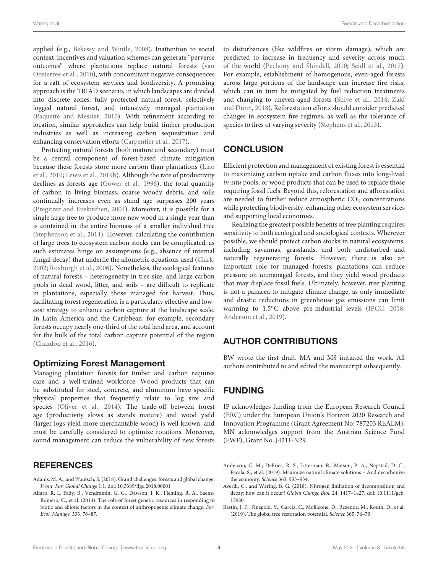applied (e.g., [Bekessy and Wintle,](#page-4-33) [2008\)](#page-4-33). Inattention to social context, incentives and valuation schemes can generate "perverse outcomes" where plantations replace natural forests [\(van](#page-5-12) [Oosterzee et al.,](#page-5-12) [2010\)](#page-5-12), with concomitant negative consequences for a raft of ecosystem services and biodiversity. A promising approach is the TRIAD scenario, in which landscapes are divided into discrete zones: fully protected natural forest, selectively logged natural forest, and intensively managed plantation [\(Paquette and Messier,](#page-4-34) [2010\)](#page-4-34). With refinement according to location, similar approaches can help build timber production industries as well as increasing carbon sequestration and enhancing conservation efforts [\(Carpentier et al.,](#page-4-35) [2017\)](#page-4-35).

Protecting natural forests (both mature and secondary) must be a central component of forest-based climate mitigation because these forests store more carbon than plantations [\(Liao](#page-4-36) [et al.,](#page-4-36) [2010;](#page-4-36) [Lewis et al.,](#page-4-6) [2019b\)](#page-4-6). Although the rate of productivity declines as forests age [\(Gower et al.,](#page-4-37) [1996\)](#page-4-37), the total quantity of carbon in living biomass, coarse woody debris, and soils continually increases even as stand age surpasses 200 years [\(Pregitzer and Euskirchen,](#page-5-13) [2004\)](#page-5-13). Moreover, it is possible for a single large tree to produce more new wood in a single year than is contained in the entire biomass of a smaller individual tree [\(Stephenson et al.,](#page-5-14) [2014\)](#page-5-14). However, calculating the contribution of large trees to ecosystem carbon stocks can be complicated, as such estimates hinge on assumptions (e.g., absence of internal fungal decay) that underlie the allometric equations used [\(Clark,](#page-4-38) [2002;](#page-4-38) [Roxburgh et al.,](#page-5-15) [2006\)](#page-5-15). Nonetheless, the ecological features of natural forests – heterogeneity in tree size, and large carbon pools in dead wood, litter, and soils – are difficult to replicate in plantations, especially those managed for harvest. Thus, facilitating forest regeneration is a particularly effective and lowcost strategy to enhance carbon capture at the landscape scale. In Latin America and the Caribbean, for example, secondary forests occupy nearly one-third of the total land area, and account for the bulk of the total carbon capture potential of the region [\(Chazdon et al.,](#page-4-39) [2016\)](#page-4-39).

#### Optimizing Forest Management

Managing plantation forests for timber and carbon requires care and a well-trained workforce. Wood products that can be substituted for steel, concrete, and aluminum have specific physical properties that frequently relate to log size and species [\(Oliver et al.,](#page-4-40) [2014\)](#page-4-40). The trade-off between forest age (productivity slows as stands mature) and wood yield (larger logs yield more merchantable wood) is well known, and must be carefully considered to optimize rotations. Moreover, sound management can reduce the vulnerability of new forests

#### **REFERENCES**

- <span id="page-3-1"></span>Adams, M. A., and Pfautsch, S. (2018). Grand challenges: forests and global change. Front. For. Global Change 1:1. [doi: 10.3389/ffgc.2018.00001](https://doi.org/10.3389/ffgc.2018.00001)
- <span id="page-3-3"></span>Alfaro, R. I., Fady, B., Vendramin, G. G., Dawson, I. K., Fleming, R. A., Sáenz-Romero, C., et al. (2014). The role of forest genetic resources in responding to biotic and abiotic factors in the context of anthropogenic climate change. For. Ecol. Manage. 333, 76–87.

to disturbances (like wildfires or storm damage), which are predicted to increase in frequency and severity across much of the world [\(Pechony and Shindell,](#page-5-16) [2010;](#page-5-16) [Seidl et al.,](#page-5-17) [2017\)](#page-5-17). For example, establishment of homogenous, even-aged forests across large portions of the landscape can increase fire risks, which can in turn be mitigated by fuel reduction treatments and changing to uneven-aged forests [\(Shive et al.,](#page-5-18) [2014;](#page-5-18) [Zald](#page-5-19) [and Dunn,](#page-5-19) [2018\)](#page-5-19). Reforestation efforts should consider predicted changes in ecosystem fire regimes, as well as the tolerance of species to fires of varying severity [\(Stephens et al.,](#page-5-20) [2013\)](#page-5-20).

## **CONCLUSION**

Efficient protection and management of existing forest is essential to maximizing carbon uptake and carbon fluxes into long-lived in-situ pools, or wood products that can be used to replace those requiring fossil fuels. Beyond this, reforestation and afforestation are needed to further reduce atmospheric  $CO<sub>2</sub>$  concentrations while protecting biodiversity, enhancing other ecosystem services and supporting local economies.

Realizing the greatest possible benefits of tree planting requires sensitivity to both ecological and sociological contexts. Wherever possible, we should protect carbon stocks in natural ecosystems, including savannas, grasslands, and both undisturbed and naturally regenerating forests. However, there is also an important role for managed forests: plantations can reduce pressure on unmanaged forests, and they yield wood products that may displace fossil fuels. Ultimately, however, tree planting is not a panacea to mitigate climate change, as only immediate and drastic reductions in greenhouse gas emissions can limit warming to 1.5℃ above pre-industrial levels [\(IPCC,](#page-4-3) [2018;](#page-4-3) [Anderson et al.,](#page-3-2) [2019\)](#page-3-2).

## AUTHOR CONTRIBUTIONS

BW wrote the first draft. MA and MS initiated the work. All authors contributed to and edited the manuscript subsequently.

## FUNDING

IP acknowledges funding from the European Research Council (ERC) under the European Union's Horizon 2020 Research and Innovation Programme (Grant Agreement No: 787203 REALM). MN acknowledges support from the Austrian Science Fund (FWF), Grant No. J4211-N29.

<span id="page-3-2"></span>Anderson, C. M., DeFries, R. S., Litterman, R., Matson, P. A., Nepstad, D. C., Pacala, S., et al. (2019). Maximize natural climate solutions – And decarbonize the economy. Science 363, 933–934.

<span id="page-3-4"></span>Averill, C., and Waring, B. G. (2018). Nitrogen limitation of decomposition and decay: how can it occur? Global Change Biol. 24, 1417–1427. [doi: 10.1111/gcb.](https://doi.org/10.1111/gcb.13980) [13980](https://doi.org/10.1111/gcb.13980)

<span id="page-3-0"></span>Bastin, J. F., Finegold, Y., Garcia, C., Mollicone, D., Rezende, M., Routh, D., et al. (2019). The global tree restoration potential. Science 365, 76–79.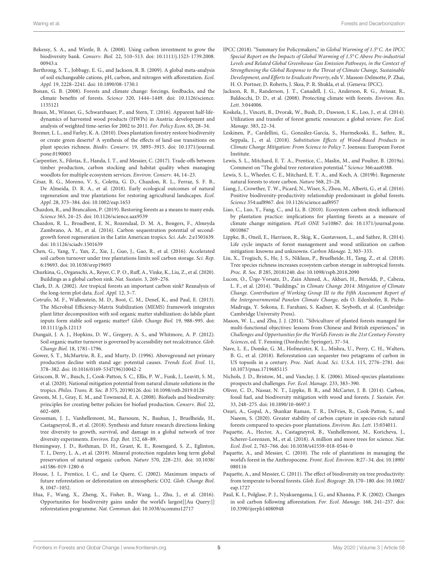- <span id="page-4-33"></span>Bekessy, S. A., and Wintle, B. A. (2008). Using carbon investment to grow the biodiversity bank. Conserv. Biol. 22, 510–513. [doi: 10.1111/j.1523-1739.2008.](https://doi.org/10.1111/j.1523-1739.2008.00943.x)  $00943x$
- <span id="page-4-23"></span>Berthrong, S. T., Jobbagy, E. G., and Jackson, R. B. (2009). A global meta-analysis of soil exchangeable cations, pH, carbon, and nitrogen with afforestation. Ecol. Appl. 19, 2228–2241. [doi: 10.1890/08-1730.1](https://doi.org/10.1890/08-1730.1)
- <span id="page-4-0"></span>Bonan, G. B. (2008). Forests and climate change: forcings, feedbacks, and the climate benefits of forests. Science 320, 1444–1449. [doi: 10.1126/science.](https://doi.org/10.1126/science.1155121) [1155121](https://doi.org/10.1126/science.1155121)
- <span id="page-4-32"></span>Braun, M., Winner, G., Schwarzbauer, P., and Stern, T. (2016). Apparent half-lifedynamics of harvested wood products (HWPs) in Austria: development and analysis of weighted time-series for 2002 to 2011. For. Policy Econ. 63, 28–34.
- <span id="page-4-18"></span>Bremer, L. L., and Farley, K. A. (2010). Does plantation forestry restore biodiversity or create green deserts? A synthesis of the effects of land-use transitions on plant species richness. Biodiv. Conserv. 19, 3893–3915. [doi: 10.1371/journal.](https://doi.org/10.1371/journal.pone.0190003) [pone.0190003](https://doi.org/10.1371/journal.pone.0190003)
- <span id="page-4-35"></span>Carpentier, S., Filotas, E., Handa, I. T., and Messier, C. (2017). Trade-offs between timber production, carbon stocking and habitat quality when managing woodlots for multiple ecosystem services. Environ. Conserv. 44, 14–23.
- <span id="page-4-17"></span>César, R. G., Moreno, V. S., Coletta, G. D., Chazdon, R. L., Ferraz, S. F. B., De Almeida, D. R. A., et al. (2018). Early ecological outcomes of natural regeneration and tree plantations for restoring agricultural landscapes. Ecol. Appl. 28, 373–384. [doi: 10.1002/eap.1653](https://doi.org/10.1002/eap.1653)
- <span id="page-4-4"></span>Chazdon, R., and Brancalion, P. (2019). Restoring forests as a means to many ends. Science 365, 24–25. [doi: 10.1126/science.aax9539](https://doi.org/10.1126/science.aax9539)
- <span id="page-4-39"></span>Chazdon, R. L., Broadbent, E. N., Rozendaal, D. M. A., Bongers, F., Almeyda Zambrano, A. M., et al. (2016). Carbon sequestration potential of secondgrowth forest regeneration in the Latin American tropics. Sci. Adv. 2:e1501639. [doi: 10.1126/sciadv.1501639](https://doi.org/10.1126/sciadv.1501639)
- <span id="page-4-24"></span>Chen, G., Yang, Y., Yan, Z., Xie, J., Guo, J., Gao, R., et al. (2016). Accelerated soil carbon turnover under tree plantations limits soil carbon storage. Sci. Rep. 6:19693. [doi: 10.1038/srep19693](https://doi.org/10.1038/srep19693)
- <span id="page-4-30"></span>Churkina, G., Organschi, A., Reyer, C. P. O., Ruff, A., Vinke, K., Liu, Z., et al. (2020). Buildings as a global carbon sink. Nat. Sustain. 3, 269–276.
- <span id="page-4-38"></span>Clark, D. A. (2002). Are tropical forests an important carbon sink? Reanalysis of the long-term plot data. Ecol. Appl. 12, 3–7.
- <span id="page-4-26"></span>Cotrufo, M. F., Wallenstein, M. D., Boot, C. M., Denef, K., and Paul, E. (2013). The Microbial Efficiency-Matrix Stabilization (MEMS) framework integrates plant litter decomposition with soil organic matter stabilization: do labile plant inputs form stable soil organic matter? Glob. Change Biol. 19, 988–995. [doi:](https://doi.org/10.1111/gcb.12113) [10.1111/gcb.12113](https://doi.org/10.1111/gcb.12113)
- <span id="page-4-25"></span>Dungait, J. A. J., Hopkins, D. W., Gregory, A. S., and Whitmore, A. P. (2012). Soil organic matter turnover is governed by accessibility not recalcitrance. Glob. Change Biol. 18, 1781–1796.
- <span id="page-4-37"></span>Gower, S. T., McMurtrie, R. E., and Murty, D. (1996). Aboveground net primary production decline with stand age: potential causes. Trends Ecol. Evol. 11, 378–382. [doi: 10.1016/0169-5347\(96\)10042-2](https://doi.org/10.1016/0169-5347(96)10042-2)
- <span id="page-4-7"></span>Griscom, B. W., Busch, J., Cook-Patton, S. C., Ellis, P. W., Funk, J., Leavitt, S. M., et al. (2020). National mitigation potential from natural climate solutions in the tropics. Philos. Trans. R. Soc. B 375, 20190126. [doi: 10.1098/rstb.2019.0126](https://doi.org/10.1098/rstb.2019.0126)
- <span id="page-4-31"></span>Groom, M. J., Gray, E. M., and Townsend, E. A. (2008). Biofuels and biodiversity: principles for creating better policies for biofuel production. Conserv. Biol. 22, 602–609.
- <span id="page-4-11"></span>Grossman, J. J., Vanhellemont, M., Barsoum, N., Bauhus, J., Bruelheide, H., Castagneyrol, B., et al. (2018). Synthesis and future research directions linking tree diversity to growth, survival, and damage in a global network of tree diversity experiments. Environ. Exp. Bot. 152, 68–89.
- <span id="page-4-20"></span>Hemingway, J. D., Rothman, D. H., Grant, K. E., Rosengard, S. Z., Eglinton, T. I., Derry, L. A., et al. (2019). Mineral protection regulates long term global preservation of natural organic carbon. Nature 570, 228–231. [doi: 10.1038/](https://doi.org/10.1038/s41586-019-1280-6) [s41586-019-1280-6](https://doi.org/10.1038/s41586-019-1280-6)
- <span id="page-4-2"></span>House, J. I., Prentice, I. C., and Le Quere, C. (2002). Maximum impacts of future reforestation or deforestation on atmospheric CO2. Glob. Change Biol. 8, 1047–1052.
- <span id="page-4-15"></span>Hua, F., Wang, X., Zheng, X., Fisher, B., Wang, L., Zhu, J., et al. (2016). Opportunites for biodiversity gains under the world's largest[[Au Query:]] reforestation programme. Nat. Commun. [doi: 10.1038/ncomms12717](https://doi.org/10.1038/ncomms12717)
- <span id="page-4-3"></span>IPCC (2018). "Summary for Policymakers," in Global Warming of 1.5◦C. An IPCC Special Report on the Impacts of Global Warming of 1.5◦C Above Pre-industrial Levels and Related Global Greenhouse Gas Emission Pathways, in the Context of Strengthening the Global Response to the Threat of Climate Change, Sustainable Development, and Efforts to Eradicate Poverty, eds V. Masson-Delmotte, P. Zhai, H. O. Portner, D. Roberts, J. Skea, P. R. Shukla, et al. (Geneva: IPCC).
- <span id="page-4-5"></span>Jackson, R. B., Randerson, J. T., Canadell, J. G., Anderson, R. G., Avissar, R., Baldocchi, D. D., et al. (2008). Protecting climate with forests. Environ. Res. Lett. 3:044006.
- <span id="page-4-16"></span>Koskela, J., Vinceti, B., Dvorak, W., Bush, D., Dawson, I. K., Loo, J., et al. (2014). Utilization and transfer of forest genetic resources: a global review. For. Ecol. Manage. 383, 22–34.
- <span id="page-4-28"></span>Leskinen, P., Cardellini, G., González-García, S., Hurmekoski, E., Sathre, R., Seppala, J., et al. (2018). Substitution Effects of Wood-Based Products in Climate Change Mitigation: From Science to Policy 7. Joensuu: European Forest Institute.
- <span id="page-4-1"></span>Lewis, S. L., Mitchard, E. T. A., Prentice, C., Maslin, M., and Poulter, B. (2019a). Comment on "The global tree restoration potential." Science 366:aaz0388.
- <span id="page-4-6"></span>Lewis, S. L., Wheeler, C. E., Mitchard, E. T. A., and Koch, A. (2019b). Regenerate natural forests to store carbon. Nature 568, 25–28.
- <span id="page-4-10"></span>Liang, J., Crowther, T. W., Picard, N., Wiser, S., Zhou, M., Alberti, G., et al. (2016). Positive biodiversity-productivity relationship predominant in global forests. Science 354:aaf8967. [doi: 10.1126/science.aaf8957](https://doi.org/10.1126/science.aaf8957)
- <span id="page-4-36"></span>Liao, C., Luo, Y., Fang, C., and Li, B. (2010). Ecosystem carbon stock influenced by plantation practice: implications for planting forests as a measure of climate change mitigation. PLoS ONE 5:e10867. [doi: 10.1371/journal.pone.](https://doi.org/10.1371/journal.pone.0010867) [0010867](https://doi.org/10.1371/journal.pone.0010867)
- <span id="page-4-27"></span>Lippke, B., Oneil, E., Harrison, R., Skig, K., Gustavsson, L., and Sathre, R. (2014). Life cycle impacts of forest management and wood utilization on carbon mitigation: knowns and unknowns. Carbon Manage. 2, 303–333.
- <span id="page-4-12"></span>Liu, X., Trogisch, S., He, J. S., Niklaus, P., Bruelheide, H., Tang, Z., et al. (2018). Tree species richness increases ecosystem carbon storage in subtropical forests. Proc. R. Soc. B 285, 20181240. [doi: 10.1098/rspb.2018.2090](https://doi.org/10.1098/rspb.2018.2090)
- <span id="page-4-29"></span>Lucon, O., Ürge-Vorsatz, D., Zain Ahmed, A., Akbari, H., Bertoldi, P., Cabeza, L. F., et al. (2014). "Buildings," in Climate Change 2014: Mitigation of Climate Change. Contribution of Working Group III to the Fifth Assessment Report of the Intergovernmental Panelon Climate Change, eds O. Edenhofer, R. Pichs-Madruga, Y. Sokona, E. Farahani, S. Kadner, K. Seyboth, et al. (Cambridge: Cambridge University Press).
- <span id="page-4-19"></span>Mason, W. L., and Zhu, J. J. (2014). "Silviculture of planted forests managed for multi-functional objectives: lessons from Chinese and British experiences," in Challenges and Opportunities for the World's Forests in the 21st Century Forestry Sciences, ed. T. Fenning (Dordrecht: Springer), 37–54.
- <span id="page-4-22"></span>Nave, L. E., Domke, G. M., Hofmeister, K. L., Mishra, U., Perry, C. H., Walters, B. G., et al. (2018). Reforestation can sequester two petagrams of carbon in US topsoils in a century. Proc. Natl. Acad. Sci. U.S.A. 115, 2776–2781. [doi:](https://doi.org/10.1073/pnas.1719685115) [10.1073/pnas.1719685115](https://doi.org/10.1073/pnas.1719685115)
- <span id="page-4-8"></span>Nichols, J. D., Bristow, M., and Vanclay, J. K. (2006). Mixed-species plantations: prospects and challenges. For. Ecol. Manage. 233, 383–390.
- <span id="page-4-40"></span>Oliver, C. D., Nassar, N. T., Lippke, B. R., and McCarter, J. B. (2014). Carbon, fossil fuel, and biodiversity mitigation with wood and forests. J. Sustain. For. 33, 248–275. [doi: 10.1890/10-0697.1](https://doi.org/10.1890/10-0697.1)
- <span id="page-4-13"></span>Osuri, A., Gopal, A., Shankar Raman, T. R., DeFries, R., Cook-Patton, S., and Naeem, S. (2020). Greater stability of carbon capture in species-rich natural forests compared to species-poor plantations. Environ. Res. Lett. 15:034011.
- <span id="page-4-14"></span>Paquette, A., Hector, A., Castagneyrol, B., Vanhellemont, M., Koricheva, J., Scherer-Lorenzen, M., et al. (2018). A million and more trees for science. Nat. Ecol. Evol. 2, 763–766. [doi: 10.1038/s41559-018-0544-0](https://doi.org/10.1038/s41559-018-0544-0)
- <span id="page-4-34"></span>Paquette, A., and Messier, C. (2010). The role of plantations in managing the world's forest in the Anthropocene. Front. Ecol. Environ. 8:27–34. [doi: 10.1890/](https://doi.org/10.1890/080116) [080116](https://doi.org/10.1890/080116)
- <span id="page-4-9"></span>Paquette, A., and Messier, C. (2011). The effect of biodiversity on tree productivity: from temperate to boreal forests. Glob. Ecol. Biogeogr. 20, 170–180. [doi: 10.1002/](https://doi.org/10.1002/eap.1727) [eap.1727](https://doi.org/10.1002/eap.1727)
- <span id="page-4-21"></span>Paul, K. I., Polglase, P. J., Nyakuengama, J. G., and Khanna, P. K. (2002). Changes in soil carbon following afforestation. For. Ecol. Manage. 168, 241–257. [doi:](https://doi.org/10.3390/ijerph14080948) [10.3390/ijerph14080948](https://doi.org/10.3390/ijerph14080948)